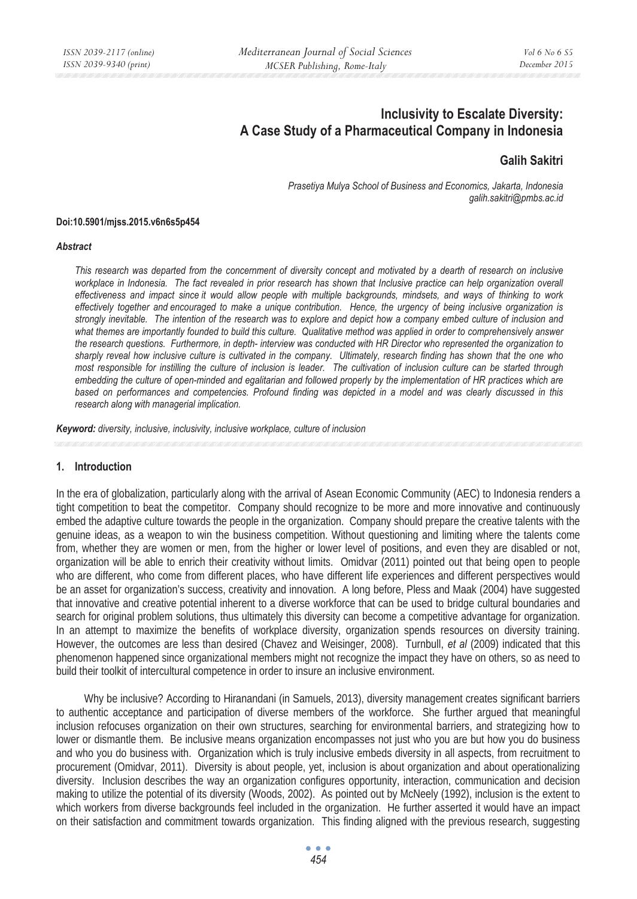# **Inclusivity to Escalate Diversity: A Case Study of a Pharmaceutical Company in Indonesia**

# **Galih Sakitri**

*Prasetiya Mulya School of Business and Economics, Jakarta, Indonesia galih.sakitri@pmbs.ac.id* 

#### **Doi:10.5901/mjss.2015.v6n6s5p454**

#### *Abstract*

*This research was departed from the concernment of diversity concept and motivated by a dearth of research on inclusive*  workplace in Indonesia. The fact revealed in prior research has shown that Inclusive practice can help organization overall *effectiveness and impact since it would allow people with multiple backgrounds, mindsets, and ways of thinking to work effectively together and encouraged to make a unique contribution. Hence, the urgency of being inclusive organization is strongly inevitable. The intention of the research was to explore and depict how a company embed culture of inclusion and what themes are importantly founded to build this culture. Qualitative method was applied in order to comprehensively answer the research questions. Furthermore, in depth- interview was conducted with HR Director who represented the organization to sharply reveal how inclusive culture is cultivated in the company. Ultimately, research finding has shown that the one who most responsible for instilling the culture of inclusion is leader. The cultivation of inclusion culture can be started through embedding the culture of open-minded and egalitarian and followed properly by the implementation of HR practices which are based on performances and competencies. Profound finding was depicted in a model and was clearly discussed in this research along with managerial implication.* 

*Keyword: diversity, inclusive, inclusivity, inclusive workplace, culture of inclusion* 

# **1. Introduction**

In the era of globalization, particularly along with the arrival of Asean Economic Community (AEC) to Indonesia renders a tight competition to beat the competitor. Company should recognize to be more and more innovative and continuously embed the adaptive culture towards the people in the organization. Company should prepare the creative talents with the genuine ideas, as a weapon to win the business competition. Without questioning and limiting where the talents come from, whether they are women or men, from the higher or lower level of positions, and even they are disabled or not, organization will be able to enrich their creativity without limits. Omidvar (2011) pointed out that being open to people who are different, who come from different places, who have different life experiences and different perspectives would be an asset for organization's success, creativity and innovation. A long before, Pless and Maak (2004) have suggested that innovative and creative potential inherent to a diverse workforce that can be used to bridge cultural boundaries and search for original problem solutions, thus ultimately this diversity can become a competitive advantage for organization. In an attempt to maximize the benefits of workplace diversity, organization spends resources on diversity training. However, the outcomes are less than desired (Chavez and Weisinger, 2008). Turnbull, *et al* (2009) indicated that this phenomenon happened since organizational members might not recognize the impact they have on others, so as need to build their toolkit of intercultural competence in order to insure an inclusive environment.

Why be inclusive? According to Hiranandani (in Samuels, 2013), diversity management creates significant barriers to authentic acceptance and participation of diverse members of the workforce. She further argued that meaningful inclusion refocuses organization on their own structures, searching for environmental barriers, and strategizing how to lower or dismantle them. Be inclusive means organization encompasses not just who you are but how you do business and who you do business with. Organization which is truly inclusive embeds diversity in all aspects, from recruitment to procurement (Omidvar, 2011). Diversity is about people, yet, inclusion is about organization and about operationalizing diversity. Inclusion describes the way an organization configures opportunity, interaction, communication and decision making to utilize the potential of its diversity (Woods, 2002). As pointed out by McNeely (1992), inclusion is the extent to which workers from diverse backgrounds feel included in the organization. He further asserted it would have an impact on their satisfaction and commitment towards organization. This finding aligned with the previous research, suggesting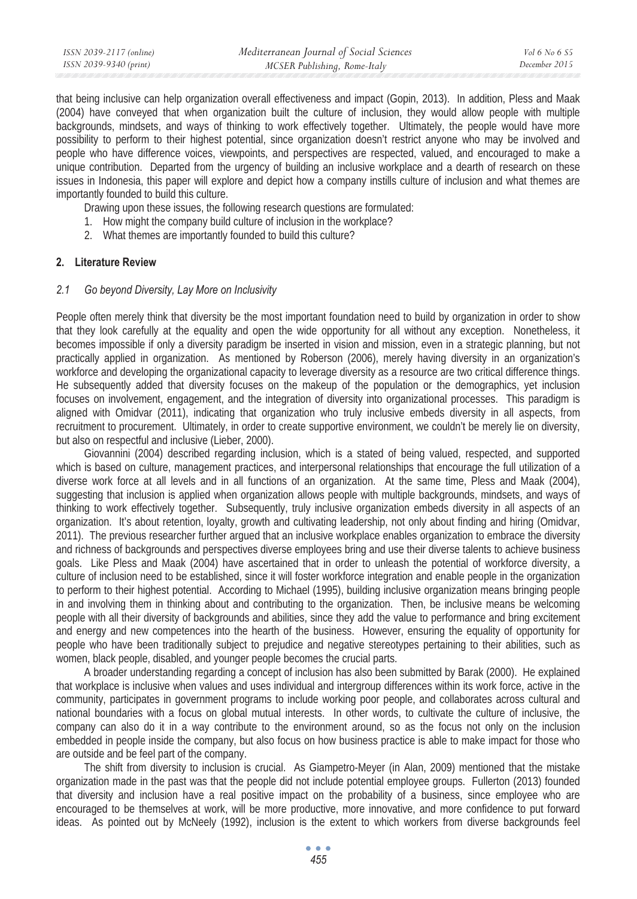that being inclusive can help organization overall effectiveness and impact (Gopin, 2013). In addition, Pless and Maak (2004) have conveyed that when organization built the culture of inclusion, they would allow people with multiple backgrounds, mindsets, and ways of thinking to work effectively together. Ultimately, the people would have more possibility to perform to their highest potential, since organization doesn't restrict anyone who may be involved and people who have difference voices, viewpoints, and perspectives are respected, valued, and encouraged to make a unique contribution. Departed from the urgency of building an inclusive workplace and a dearth of research on these issues in Indonesia, this paper will explore and depict how a company instills culture of inclusion and what themes are importantly founded to build this culture.

Drawing upon these issues, the following research questions are formulated:

- 1. How might the company build culture of inclusion in the workplace?
- 2. What themes are importantly founded to build this culture?

#### **2. Literature Review**

#### *2.1 Go beyond Diversity, Lay More on Inclusivity*

People often merely think that diversity be the most important foundation need to build by organization in order to show that they look carefully at the equality and open the wide opportunity for all without any exception. Nonetheless, it becomes impossible if only a diversity paradigm be inserted in vision and mission, even in a strategic planning, but not practically applied in organization. As mentioned by Roberson (2006), merely having diversity in an organization's workforce and developing the organizational capacity to leverage diversity as a resource are two critical difference things. He subsequently added that diversity focuses on the makeup of the population or the demographics, yet inclusion focuses on involvement, engagement, and the integration of diversity into organizational processes. This paradigm is aligned with Omidvar (2011), indicating that organization who truly inclusive embeds diversity in all aspects, from recruitment to procurement. Ultimately, in order to create supportive environment, we couldn't be merely lie on diversity, but also on respectful and inclusive (Lieber, 2000).

Giovannini (2004) described regarding inclusion, which is a stated of being valued, respected, and supported which is based on culture, management practices, and interpersonal relationships that encourage the full utilization of a diverse work force at all levels and in all functions of an organization. At the same time, Pless and Maak (2004), suggesting that inclusion is applied when organization allows people with multiple backgrounds, mindsets, and ways of thinking to work effectively together. Subsequently, truly inclusive organization embeds diversity in all aspects of an organization. It's about retention, loyalty, growth and cultivating leadership, not only about finding and hiring (Omidvar, 2011). The previous researcher further argued that an inclusive workplace enables organization to embrace the diversity and richness of backgrounds and perspectives diverse employees bring and use their diverse talents to achieve business goals. Like Pless and Maak (2004) have ascertained that in order to unleash the potential of workforce diversity, a culture of inclusion need to be established, since it will foster workforce integration and enable people in the organization to perform to their highest potential. According to Michael (1995), building inclusive organization means bringing people in and involving them in thinking about and contributing to the organization. Then, be inclusive means be welcoming people with all their diversity of backgrounds and abilities, since they add the value to performance and bring excitement and energy and new competences into the hearth of the business. However, ensuring the equality of opportunity for people who have been traditionally subject to prejudice and negative stereotypes pertaining to their abilities, such as women, black people, disabled, and younger people becomes the crucial parts.

A broader understanding regarding a concept of inclusion has also been submitted by Barak (2000). He explained that workplace is inclusive when values and uses individual and intergroup differences within its work force, active in the community, participates in government programs to include working poor people, and collaborates across cultural and national boundaries with a focus on global mutual interests. In other words, to cultivate the culture of inclusive, the company can also do it in a way contribute to the environment around, so as the focus not only on the inclusion embedded in people inside the company, but also focus on how business practice is able to make impact for those who are outside and be feel part of the company.

The shift from diversity to inclusion is crucial. As Giampetro-Meyer (in Alan, 2009) mentioned that the mistake organization made in the past was that the people did not include potential employee groups. Fullerton (2013) founded that diversity and inclusion have a real positive impact on the probability of a business, since employee who are encouraged to be themselves at work, will be more productive, more innovative, and more confidence to put forward ideas. As pointed out by McNeely (1992), inclusion is the extent to which workers from diverse backgrounds feel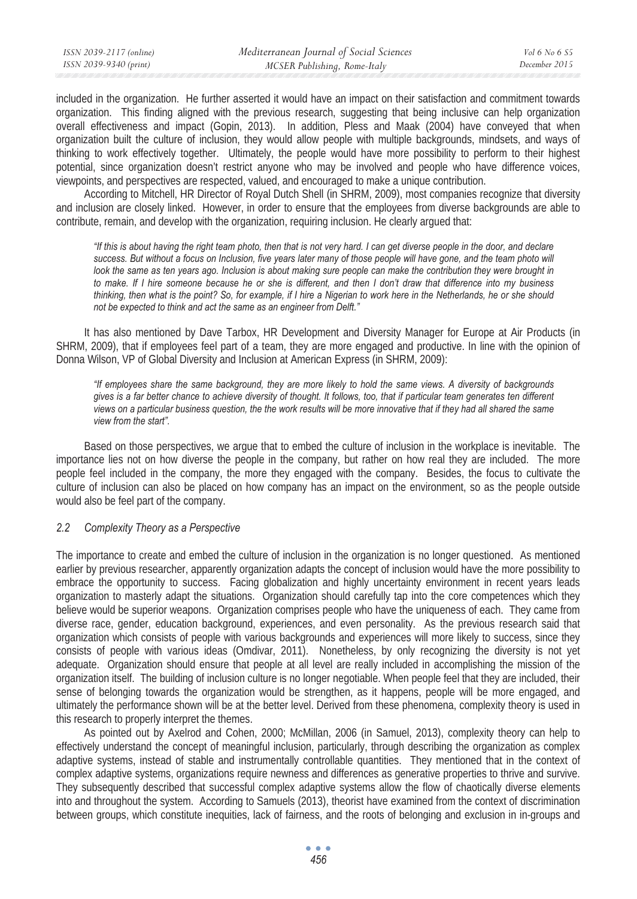| ISSN 2039-2117 (online) | Mediterranean Journal of Social Sciences | Vol 6 No 6 S5 |
|-------------------------|------------------------------------------|---------------|
| ISSN 2039-9340 (print)  | MCSER Publishing, Rome-Italy             | December 2015 |

included in the organization. He further asserted it would have an impact on their satisfaction and commitment towards organization. This finding aligned with the previous research, suggesting that being inclusive can help organization overall effectiveness and impact (Gopin, 2013). In addition, Pless and Maak (2004) have conveyed that when organization built the culture of inclusion, they would allow people with multiple backgrounds, mindsets, and ways of thinking to work effectively together. Ultimately, the people would have more possibility to perform to their highest potential, since organization doesn't restrict anyone who may be involved and people who have difference voices, viewpoints, and perspectives are respected, valued, and encouraged to make a unique contribution.

According to Mitchell, HR Director of Royal Dutch Shell (in SHRM, 2009), most companies recognize that diversity and inclusion are closely linked. However, in order to ensure that the employees from diverse backgrounds are able to contribute, remain, and develop with the organization, requiring inclusion. He clearly argued that:

*"If this is about having the right team photo, then that is not very hard. I can get diverse people in the door, and declare success. But without a focus on Inclusion, five years later many of those people will have gone, and the team photo will*  look the same as ten years ago. Inclusion is about making sure people can make the contribution they were brought in *to make. If I hire someone because he or she is different, and then I don't draw that difference into my business thinking, then what is the point? So, for example, if I hire a Nigerian to work here in the Netherlands, he or she should not be expected to think and act the same as an engineer from Delft."* 

It has also mentioned by Dave Tarbox, HR Development and Diversity Manager for Europe at Air Products (in SHRM, 2009), that if employees feel part of a team, they are more engaged and productive. In line with the opinion of Donna Wilson, VP of Global Diversity and Inclusion at American Express (in SHRM, 2009):

*"If employees share the same background, they are more likely to hold the same views. A diversity of backgrounds gives is a far better chance to achieve diversity of thought. It follows, too, that if particular team generates ten different views on a particular business question, the the work results will be more innovative that if they had all shared the same view from the start".* 

Based on those perspectives, we argue that to embed the culture of inclusion in the workplace is inevitable. The importance lies not on how diverse the people in the company, but rather on how real they are included. The more people feel included in the company, the more they engaged with the company. Besides, the focus to cultivate the culture of inclusion can also be placed on how company has an impact on the environment, so as the people outside would also be feel part of the company.

#### *2.2 Complexity Theory as a Perspective*

The importance to create and embed the culture of inclusion in the organization is no longer questioned. As mentioned earlier by previous researcher, apparently organization adapts the concept of inclusion would have the more possibility to embrace the opportunity to success. Facing globalization and highly uncertainty environment in recent years leads organization to masterly adapt the situations. Organization should carefully tap into the core competences which they believe would be superior weapons. Organization comprises people who have the uniqueness of each. They came from diverse race, gender, education background, experiences, and even personality. As the previous research said that organization which consists of people with various backgrounds and experiences will more likely to success, since they consists of people with various ideas (Omdivar, 2011). Nonetheless, by only recognizing the diversity is not yet adequate. Organization should ensure that people at all level are really included in accomplishing the mission of the organization itself. The building of inclusion culture is no longer negotiable. When people feel that they are included, their sense of belonging towards the organization would be strengthen, as it happens, people will be more engaged, and ultimately the performance shown will be at the better level. Derived from these phenomena, complexity theory is used in this research to properly interpret the themes.

As pointed out by Axelrod and Cohen, 2000; McMillan, 2006 (in Samuel, 2013), complexity theory can help to effectively understand the concept of meaningful inclusion, particularly, through describing the organization as complex adaptive systems, instead of stable and instrumentally controllable quantities. They mentioned that in the context of complex adaptive systems, organizations require newness and differences as generative properties to thrive and survive. They subsequently described that successful complex adaptive systems allow the flow of chaotically diverse elements into and throughout the system. According to Samuels (2013), theorist have examined from the context of discrimination between groups, which constitute inequities, lack of fairness, and the roots of belonging and exclusion in in-groups and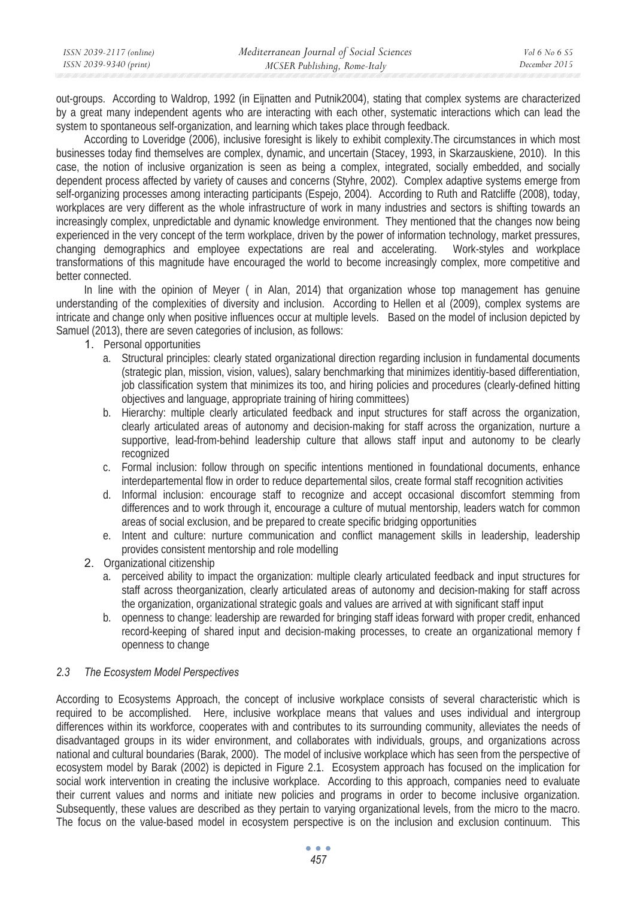| ISSN 2039-2117 (online) | Mediterranean Journal of Social Sciences | Vol 6 No 6 S5 |
|-------------------------|------------------------------------------|---------------|
| ISSN 2039-9340 (print)  | MCSER Publishing, Rome-Italy             | December 2015 |

out-groups. According to Waldrop, 1992 (in Eijnatten and Putnik2004), stating that complex systems are characterized by a great many independent agents who are interacting with each other, systematic interactions which can lead the system to spontaneous self-organization, and learning which takes place through feedback.

According to Loveridge (2006), inclusive foresight is likely to exhibit complexity.The circumstances in which most businesses today find themselves are complex, dynamic, and uncertain (Stacey, 1993, in Skarzauskiene, 2010). In this case, the notion of inclusive organization is seen as being a complex, integrated, socially embedded, and socially dependent process affected by variety of causes and concerns (Styhre, 2002). Complex adaptive systems emerge from self-organizing processes among interacting participants (Espejo, 2004). According to Ruth and Ratcliffe (2008), today, workplaces are very different as the whole infrastructure of work in many industries and sectors is shifting towards an increasingly complex, unpredictable and dynamic knowledge environment. They mentioned that the changes now being experienced in the very concept of the term workplace, driven by the power of information technology, market pressures, changing demographics and employee expectations are real and accelerating. Work-styles and workplace transformations of this magnitude have encouraged the world to become increasingly complex, more competitive and better connected.

In line with the opinion of Meyer ( in Alan, 2014) that organization whose top management has genuine understanding of the complexities of diversity and inclusion. According to Hellen et al (2009), complex systems are intricate and change only when positive influences occur at multiple levels. Based on the model of inclusion depicted by Samuel (2013), there are seven categories of inclusion, as follows:

- 1. Personal opportunities
	- a. Structural principles: clearly stated organizational direction regarding inclusion in fundamental documents (strategic plan, mission, vision, values), salary benchmarking that minimizes identitiy-based differentiation, job classification system that minimizes its too, and hiring policies and procedures (clearly-defined hitting objectives and language, appropriate training of hiring committees)
	- b. Hierarchy: multiple clearly articulated feedback and input structures for staff across the organization, clearly articulated areas of autonomy and decision-making for staff across the organization, nurture a supportive, lead-from-behind leadership culture that allows staff input and autonomy to be clearly recognized
	- c. Formal inclusion: follow through on specific intentions mentioned in foundational documents, enhance interdepartemental flow in order to reduce departemental silos, create formal staff recognition activities
	- d. Informal inclusion: encourage staff to recognize and accept occasional discomfort stemming from differences and to work through it, encourage a culture of mutual mentorship, leaders watch for common areas of social exclusion, and be prepared to create specific bridging opportunities
	- e. Intent and culture: nurture communication and conflict management skills in leadership, leadership provides consistent mentorship and role modelling
- 2. Organizational citizenship
	- a. perceived ability to impact the organization: multiple clearly articulated feedback and input structures for staff across theorganization, clearly articulated areas of autonomy and decision-making for staff across the organization, organizational strategic goals and values are arrived at with significant staff input
	- b. openness to change: leadership are rewarded for bringing staff ideas forward with proper credit, enhanced record-keeping of shared input and decision-making processes, to create an organizational memory f openness to change

# *2.3 The Ecosystem Model Perspectives*

According to Ecosystems Approach, the concept of inclusive workplace consists of several characteristic which is required to be accomplished. Here, inclusive workplace means that values and uses individual and intergroup differences within its workforce, cooperates with and contributes to its surrounding community, alleviates the needs of disadvantaged groups in its wider environment, and collaborates with individuals, groups, and organizations across national and cultural boundaries (Barak, 2000). The model of inclusive workplace which has seen from the perspective of ecosystem model by Barak (2002) is depicted in Figure 2.1. Ecosystem approach has focused on the implication for social work intervention in creating the inclusive workplace. According to this approach, companies need to evaluate their current values and norms and initiate new policies and programs in order to become inclusive organization. Subsequently, these values are described as they pertain to varying organizational levels, from the micro to the macro. The focus on the value-based model in ecosystem perspective is on the inclusion and exclusion continuum. This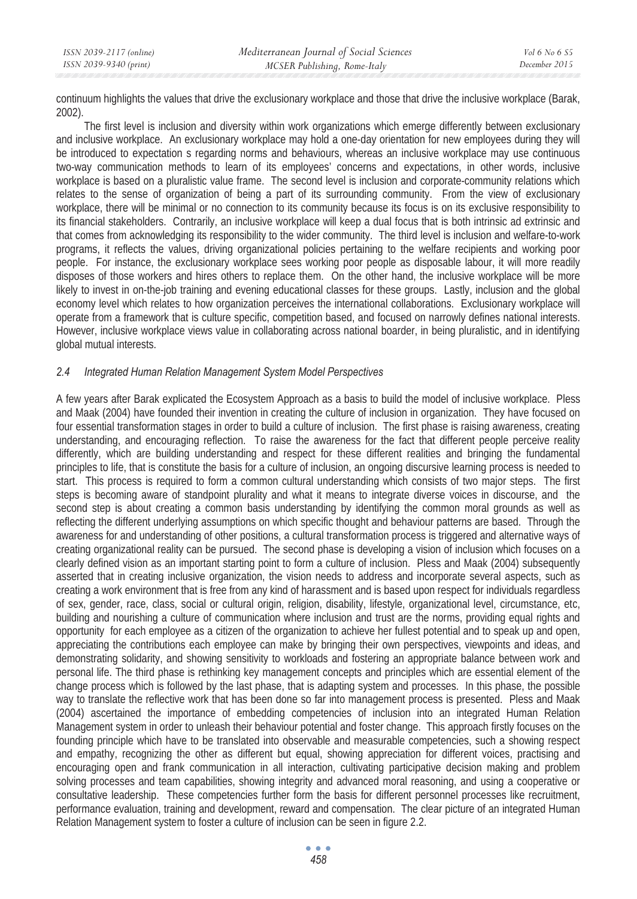| ISSN 2039-2117 (online) | Mediterranean Journal of Social Sciences | Vol 6 No 6 S5 |
|-------------------------|------------------------------------------|---------------|
| ISSN 2039-9340 (print)  | MCSER Publishing, Rome-Italy             | December 2015 |

continuum highlights the values that drive the exclusionary workplace and those that drive the inclusive workplace (Barak, 2002).

The first level is inclusion and diversity within work organizations which emerge differently between exclusionary and inclusive workplace. An exclusionary workplace may hold a one-day orientation for new employees during they will be introduced to expectation s regarding norms and behaviours, whereas an inclusive workplace may use continuous two-way communication methods to learn of its employees' concerns and expectations, in other words, inclusive workplace is based on a pluralistic value frame. The second level is inclusion and corporate-community relations which relates to the sense of organization of being a part of its surrounding community. From the view of exclusionary workplace, there will be minimal or no connection to its community because its focus is on its exclusive responsibility to its financial stakeholders. Contrarily, an inclusive workplace will keep a dual focus that is both intrinsic ad extrinsic and that comes from acknowledging its responsibility to the wider community. The third level is inclusion and welfare-to-work programs, it reflects the values, driving organizational policies pertaining to the welfare recipients and working poor people. For instance, the exclusionary workplace sees working poor people as disposable labour, it will more readily disposes of those workers and hires others to replace them. On the other hand, the inclusive workplace will be more likely to invest in on-the-job training and evening educational classes for these groups. Lastly, inclusion and the global economy level which relates to how organization perceives the international collaborations. Exclusionary workplace will operate from a framework that is culture specific, competition based, and focused on narrowly defines national interests. However, inclusive workplace views value in collaborating across national boarder, in being pluralistic, and in identifying global mutual interests.

# *2.4 Integrated Human Relation Management System Model Perspectives*

A few years after Barak explicated the Ecosystem Approach as a basis to build the model of inclusive workplace. Pless and Maak (2004) have founded their invention in creating the culture of inclusion in organization. They have focused on four essential transformation stages in order to build a culture of inclusion. The first phase is raising awareness, creating understanding, and encouraging reflection. To raise the awareness for the fact that different people perceive reality differently, which are building understanding and respect for these different realities and bringing the fundamental principles to life, that is constitute the basis for a culture of inclusion, an ongoing discursive learning process is needed to start. This process is required to form a common cultural understanding which consists of two major steps. The first steps is becoming aware of standpoint plurality and what it means to integrate diverse voices in discourse, and the second step is about creating a common basis understanding by identifying the common moral grounds as well as reflecting the different underlying assumptions on which specific thought and behaviour patterns are based. Through the awareness for and understanding of other positions, a cultural transformation process is triggered and alternative ways of creating organizational reality can be pursued. The second phase is developing a vision of inclusion which focuses on a clearly defined vision as an important starting point to form a culture of inclusion. Pless and Maak (2004) subsequently asserted that in creating inclusive organization, the vision needs to address and incorporate several aspects, such as creating a work environment that is free from any kind of harassment and is based upon respect for individuals regardless of sex, gender, race, class, social or cultural origin, religion, disability, lifestyle, organizational level, circumstance, etc, building and nourishing a culture of communication where inclusion and trust are the norms, providing equal rights and opportunity for each employee as a citizen of the organization to achieve her fullest potential and to speak up and open, appreciating the contributions each employee can make by bringing their own perspectives, viewpoints and ideas, and demonstrating solidarity, and showing sensitivity to workloads and fostering an appropriate balance between work and personal life. The third phase is rethinking key management concepts and principles which are essential element of the change process which is followed by the last phase, that is adapting system and processes. In this phase, the possible way to translate the reflective work that has been done so far into management process is presented. Pless and Maak (2004) ascertained the importance of embedding competencies of inclusion into an integrated Human Relation Management system in order to unleash their behaviour potential and foster change. This approach firstly focuses on the founding principle which have to be translated into observable and measurable competencies, such a showing respect and empathy, recognizing the other as different but equal, showing appreciation for different voices, practising and encouraging open and frank communication in all interaction, cultivating participative decision making and problem solving processes and team capabilities, showing integrity and advanced moral reasoning, and using a cooperative or consultative leadership. These competencies further form the basis for different personnel processes like recruitment, performance evaluation, training and development, reward and compensation. The clear picture of an integrated Human Relation Management system to foster a culture of inclusion can be seen in figure 2.2.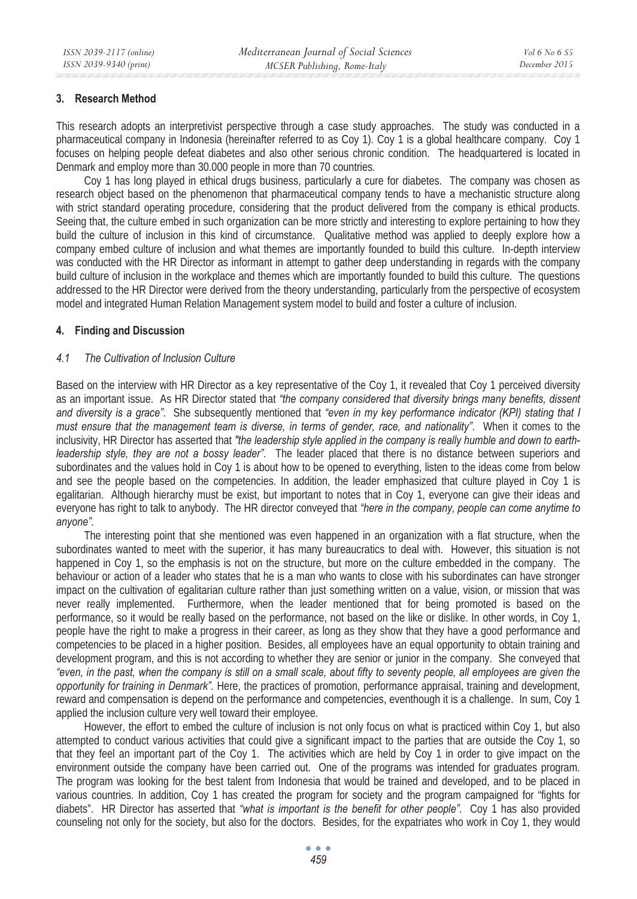# **3. Research Method**

This research adopts an interpretivist perspective through a case study approaches. The study was conducted in a pharmaceutical company in Indonesia (hereinafter referred to as Coy 1). Coy 1 is a global healthcare company. Coy 1 focuses on helping people defeat diabetes and also other serious chronic condition. The headquartered is located in Denmark and employ more than 30.000 people in more than 70 countries.

Coy 1 has long played in ethical drugs business, particularly a cure for diabetes. The company was chosen as research object based on the phenomenon that pharmaceutical company tends to have a mechanistic structure along with strict standard operating procedure, considering that the product delivered from the company is ethical products. Seeing that, the culture embed in such organization can be more strictly and interesting to explore pertaining to how they build the culture of inclusion in this kind of circumstance. Qualitative method was applied to deeply explore how a company embed culture of inclusion and what themes are importantly founded to build this culture. In-depth interview was conducted with the HR Director as informant in attempt to gather deep understanding in regards with the company build culture of inclusion in the workplace and themes which are importantly founded to build this culture. The questions addressed to the HR Director were derived from the theory understanding, particularly from the perspective of ecosystem model and integrated Human Relation Management system model to build and foster a culture of inclusion.

# **4. Finding and Discussion**

# *4.1 The Cultivation of Inclusion Culture*

Based on the interview with HR Director as a key representative of the Coy 1, it revealed that Coy 1 perceived diversity as an important issue. As HR Director stated that *"the company considered that diversity brings many benefits, dissent and diversity is a grace"*. She subsequently mentioned that *"even in my key performance indicator (KPI) stating that I must ensure that the management team is diverse, in terms of gender, race, and nationality"*. When it comes to the inclusivity, HR Director has asserted that *"the leadership style applied in the company is really humble and down to earthleadership style, they are not a bossy leader"*. The leader placed that there is no distance between superiors and subordinates and the values hold in Coy 1 is about how to be opened to everything, listen to the ideas come from below and see the people based on the competencies. In addition, the leader emphasized that culture played in Coy 1 is egalitarian. Although hierarchy must be exist, but important to notes that in Coy 1, everyone can give their ideas and everyone has right to talk to anybody. The HR director conveyed that *"here in the company, people can come anytime to anyone".* 

The interesting point that she mentioned was even happened in an organization with a flat structure, when the subordinates wanted to meet with the superior, it has many bureaucratics to deal with. However, this situation is not happened in Coy 1, so the emphasis is not on the structure, but more on the culture embedded in the company. The behaviour or action of a leader who states that he is a man who wants to close with his subordinates can have stronger impact on the cultivation of egalitarian culture rather than just something written on a value, vision, or mission that was never really implemented. Furthermore, when the leader mentioned that for being promoted is based on the performance, so it would be really based on the performance, not based on the like or dislike. In other words, in Coy 1, people have the right to make a progress in their career, as long as they show that they have a good performance and competencies to be placed in a higher position. Besides, all employees have an equal opportunity to obtain training and development program, and this is not according to whether they are senior or junior in the company. She conveyed that *"even, in the past, when the company is still on a small scale, about fifty to seventy people, all employees are given the opportunity for training in Denmark".* Here, the practices of promotion, performance appraisal, training and development, reward and compensation is depend on the performance and competencies, eventhough it is a challenge. In sum, Coy 1 applied the inclusion culture very well toward their employee.

However, the effort to embed the culture of inclusion is not only focus on what is practiced within Coy 1, but also attempted to conduct various activities that could give a significant impact to the parties that are outside the Coy 1, so that they feel an important part of the Coy 1. The activities which are held by Coy 1 in order to give impact on the environment outside the company have been carried out. One of the programs was intended for graduates program. The program was looking for the best talent from Indonesia that would be trained and developed, and to be placed in various countries. In addition, Coy 1 has created the program for society and the program campaigned for "fights for diabets". HR Director has asserted that *"what is important is the benefit for other people".* Coy 1 has also provided counseling not only for the society, but also for the doctors. Besides, for the expatriates who work in Coy 1, they would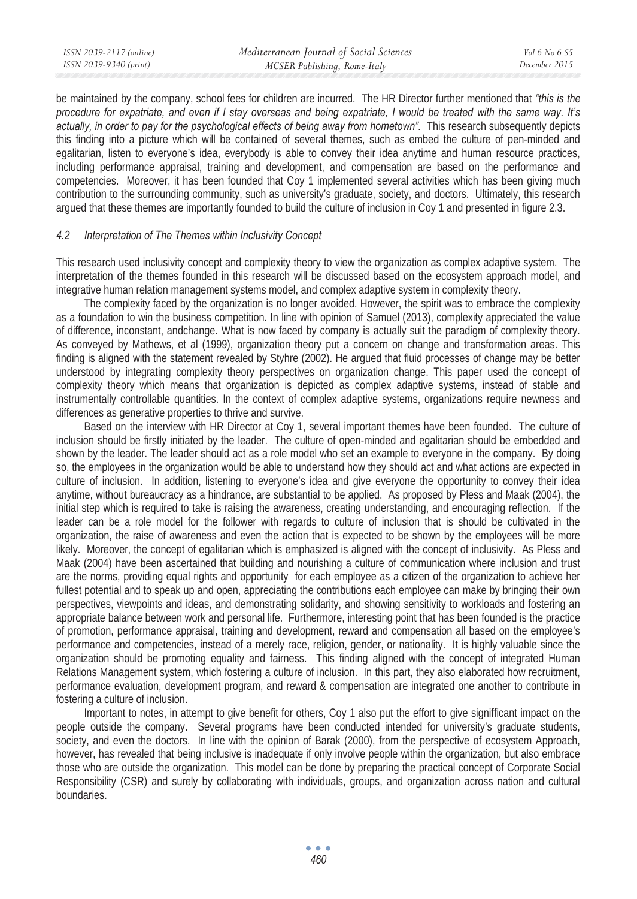be maintained by the company, school fees for children are incurred. The HR Director further mentioned that *"this is the procedure for expatriate, and even if I stay overseas and being expatriate, I would be treated with the same way. It's actually, in order to pay for the psychological effects of being away from hometown"*. This research subsequently depicts this finding into a picture which will be contained of several themes, such as embed the culture of pen-minded and egalitarian, listen to everyone's idea, everybody is able to convey their idea anytime and human resource practices, including performance appraisal, training and development, and compensation are based on the performance and competencies. Moreover, it has been founded that Coy 1 implemented several activities which has been giving much contribution to the surrounding community, such as university's graduate, society, and doctors. Ultimately, this research argued that these themes are importantly founded to build the culture of inclusion in Coy 1 and presented in figure 2.3.

# *4.2 Interpretation of The Themes within Inclusivity Concept*

This research used inclusivity concept and complexity theory to view the organization as complex adaptive system. The interpretation of the themes founded in this research will be discussed based on the ecosystem approach model, and integrative human relation management systems model, and complex adaptive system in complexity theory.

The complexity faced by the organization is no longer avoided. However, the spirit was to embrace the complexity as a foundation to win the business competition. In line with opinion of Samuel (2013), complexity appreciated the value of difference, inconstant, andchange. What is now faced by company is actually suit the paradigm of complexity theory. As conveyed by Mathews, et al (1999), organization theory put a concern on change and transformation areas. This finding is aligned with the statement revealed by Styhre (2002). He argued that fluid processes of change may be better understood by integrating complexity theory perspectives on organization change. This paper used the concept of complexity theory which means that organization is depicted as complex adaptive systems, instead of stable and instrumentally controllable quantities. In the context of complex adaptive systems, organizations require newness and differences as generative properties to thrive and survive.

Based on the interview with HR Director at Coy 1, several important themes have been founded. The culture of inclusion should be firstly initiated by the leader. The culture of open-minded and egalitarian should be embedded and shown by the leader. The leader should act as a role model who set an example to everyone in the company. By doing so, the employees in the organization would be able to understand how they should act and what actions are expected in culture of inclusion. In addition, listening to everyone's idea and give everyone the opportunity to convey their idea anytime, without bureaucracy as a hindrance, are substantial to be applied. As proposed by Pless and Maak (2004), the initial step which is required to take is raising the awareness, creating understanding, and encouraging reflection. If the leader can be a role model for the follower with regards to culture of inclusion that is should be cultivated in the organization, the raise of awareness and even the action that is expected to be shown by the employees will be more likely. Moreover, the concept of egalitarian which is emphasized is aligned with the concept of inclusivity. As Pless and Maak (2004) have been ascertained that building and nourishing a culture of communication where inclusion and trust are the norms, providing equal rights and opportunity for each employee as a citizen of the organization to achieve her fullest potential and to speak up and open, appreciating the contributions each employee can make by bringing their own perspectives, viewpoints and ideas, and demonstrating solidarity, and showing sensitivity to workloads and fostering an appropriate balance between work and personal life. Furthermore, interesting point that has been founded is the practice of promotion, performance appraisal, training and development, reward and compensation all based on the employee's performance and competencies, instead of a merely race, religion, gender, or nationality. It is highly valuable since the organization should be promoting equality and fairness. This finding aligned with the concept of integrated Human Relations Management system, which fostering a culture of inclusion. In this part, they also elaborated how recruitment, performance evaluation, development program, and reward & compensation are integrated one another to contribute in fostering a culture of inclusion.

Important to notes, in attempt to give benefit for others, Coy 1 also put the effort to give signifficant impact on the people outside the company. Several programs have been conducted intended for university's graduate students, society, and even the doctors. In line with the opinion of Barak (2000), from the perspective of ecosystem Approach, however, has revealed that being inclusive is inadequate if only involve people within the organization, but also embrace those who are outside the organization. This model can be done by preparing the practical concept of Corporate Social Responsibility (CSR) and surely by collaborating with individuals, groups, and organization across nation and cultural boundaries.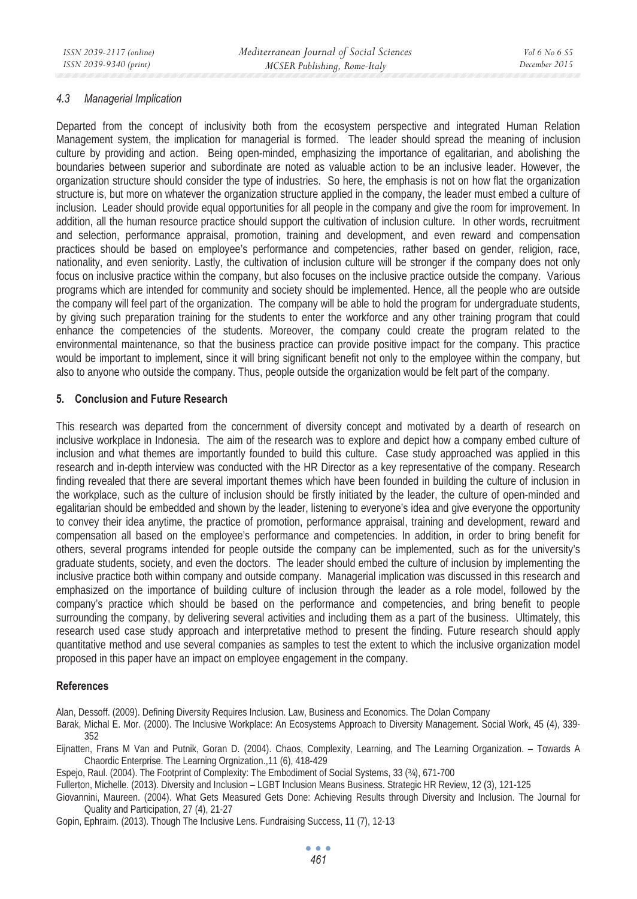#### *4.3 Managerial Implication*

Departed from the concept of inclusivity both from the ecosystem perspective and integrated Human Relation Management system, the implication for managerial is formed. The leader should spread the meaning of inclusion culture by providing and action. Being open-minded, emphasizing the importance of egalitarian, and abolishing the boundaries between superior and subordinate are noted as valuable action to be an inclusive leader. However, the organization structure should consider the type of industries. So here, the emphasis is not on how flat the organization structure is, but more on whatever the organization structure applied in the company, the leader must embed a culture of inclusion. Leader should provide equal opportunities for all people in the company and give the room for improvement. In addition, all the human resource practice should support the cultivation of inclusion culture. In other words, recruitment and selection, performance appraisal, promotion, training and development, and even reward and compensation practices should be based on employee's performance and competencies, rather based on gender, religion, race, nationality, and even seniority. Lastly, the cultivation of inclusion culture will be stronger if the company does not only focus on inclusive practice within the company, but also focuses on the inclusive practice outside the company. Various programs which are intended for community and society should be implemented. Hence, all the people who are outside the company will feel part of the organization. The company will be able to hold the program for undergraduate students, by giving such preparation training for the students to enter the workforce and any other training program that could enhance the competencies of the students. Moreover, the company could create the program related to the environmental maintenance, so that the business practice can provide positive impact for the company. This practice would be important to implement, since it will bring significant benefit not only to the employee within the company, but also to anyone who outside the company. Thus, people outside the organization would be felt part of the company.

# **5. Conclusion and Future Research**

This research was departed from the concernment of diversity concept and motivated by a dearth of research on inclusive workplace in Indonesia. The aim of the research was to explore and depict how a company embed culture of inclusion and what themes are importantly founded to build this culture. Case study approached was applied in this research and in-depth interview was conducted with the HR Director as a key representative of the company. Research finding revealed that there are several important themes which have been founded in building the culture of inclusion in the workplace, such as the culture of inclusion should be firstly initiated by the leader, the culture of open-minded and egalitarian should be embedded and shown by the leader, listening to everyone's idea and give everyone the opportunity to convey their idea anytime, the practice of promotion, performance appraisal, training and development, reward and compensation all based on the employee's performance and competencies. In addition, in order to bring benefit for others, several programs intended for people outside the company can be implemented, such as for the university's graduate students, society, and even the doctors. The leader should embed the culture of inclusion by implementing the inclusive practice both within company and outside company. Managerial implication was discussed in this research and emphasized on the importance of building culture of inclusion through the leader as a role model, followed by the company's practice which should be based on the performance and competencies, and bring benefit to people surrounding the company, by delivering several activities and including them as a part of the business. Ultimately, this research used case study approach and interpretative method to present the finding. Future research should apply quantitative method and use several companies as samples to test the extent to which the inclusive organization model proposed in this paper have an impact on employee engagement in the company.

#### **References**

Alan, Dessoff. (2009). Defining Diversity Requires Inclusion. Law, Business and Economics. The Dolan Company

- Barak, Michal E. Mor. (2000). The Inclusive Workplace: An Ecosystems Approach to Diversity Management. Social Work, 45 (4), 339- 352
- Eijnatten, Frans M Van and Putnik, Goran D. (2004). Chaos, Complexity, Learning, and The Learning Organization. Towards A Chaordic Enterprise. The Learning Orgnization.,11 (6), 418-429
- Espejo, Raul. (2004). The Footprint of Complexity: The Embodiment of Social Systems, 33 (¾), 671-700
- Fullerton, Michelle. (2013). Diversity and Inclusion LGBT Inclusion Means Business. Strategic HR Review, 12 (3), 121-125
- Giovannini, Maureen. (2004). What Gets Measured Gets Done: Achieving Results through Diversity and Inclusion. The Journal for Quality and Participation, 27 (4), 21-27

Gopin, Ephraim. (2013). Though The Inclusive Lens. Fundraising Success, 11 (7), 12-13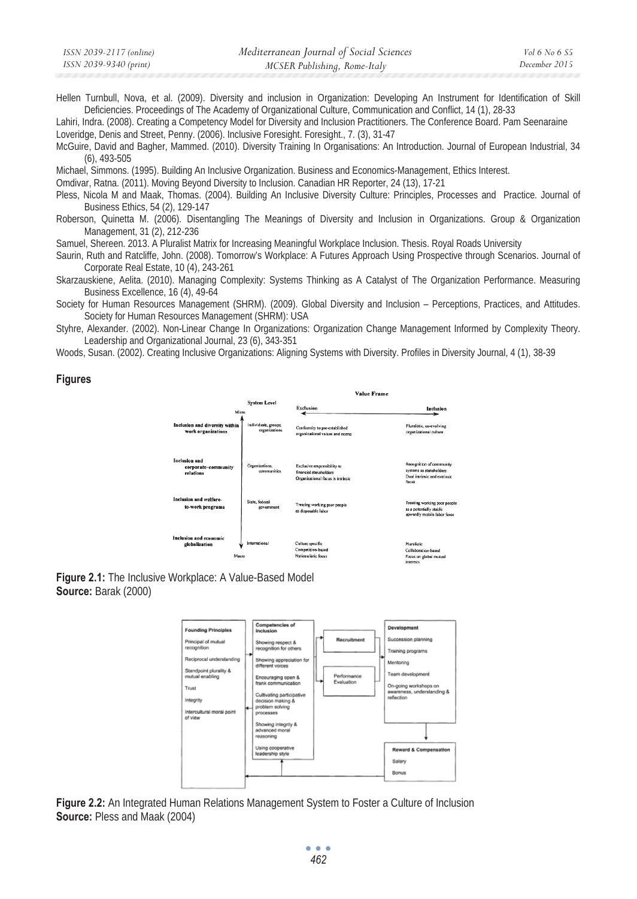Hellen Turnbull, Nova, et al. (2009). Diversity and inclusion in Organization: Developing An Instrument for Identification of Skill Deficiencies. Proceedings of The Academy of Organizational Culture, Communication and Conflict, 14 (1), 28-33

Lahiri, Indra. (2008). Creating a Competency Model for Diversity and Inclusion Practitioners. The Conference Board. Pam Seenaraine Loveridge, Denis and Street, Penny. (2006). Inclusive Foresight. Foresight., 7. (3), 31-47

McGuire, David and Bagher, Mammed. (2010). Diversity Training In Organisations: An Introduction. Journal of European Industrial, 34 (6), 493-505

Michael, Simmons. (1995). Building An Inclusive Organization. Business and Economics-Management, Ethics Interest.

Omdivar, Ratna. (2011). Moving Beyond Diversity to Inclusion. Canadian HR Reporter, 24 (13), 17-21

Pless, Nicola M and Maak, Thomas. (2004). Building An Inclusive Diversity Culture: Principles, Processes and Practice. Journal of Business Ethics, 54 (2), 129-147

Roberson, Quinetta M. (2006). Disentangling The Meanings of Diversity and Inclusion in Organizations. Group & Organization Management, 31 (2), 212-236

Samuel, Shereen. 2013. A Pluralist Matrix for Increasing Meaningful Workplace Inclusion. Thesis. Royal Roads University

Saurin, Ruth and Ratcliffe, John. (2008). Tomorrow's Workplace: A Futures Approach Using Prospective through Scenarios. Journal of Corporate Real Estate, 10 (4), 243-261

Skarzauskiene, Aelita. (2010). Managing Complexity: Systems Thinking as A Catalyst of The Organization Performance. Measuring Business Excellence, 16 (4), 49-64

Society for Human Resources Management (SHRM). (2009). Global Diversity and Inclusion – Perceptions, Practices, and Attitudes. Society for Human Resources Management (SHRM): USA

Styhre, Alexander. (2002). Non-Linear Change In Organizations: Organization Change Management Informed by Complexity Theory. Leadership and Organizational Journal, 23 (6), 343-351

Woods, Susan. (2002). Creating Inclusive Organizations: Aligning Systems with Diversity. Profiles in Diversity Journal, 4 (1), 38-39

#### **Figures**







**Figure 2.2:** An Integrated Human Relations Management System to Foster a Culture of Inclusion **Source:** Pless and Maak (2004)